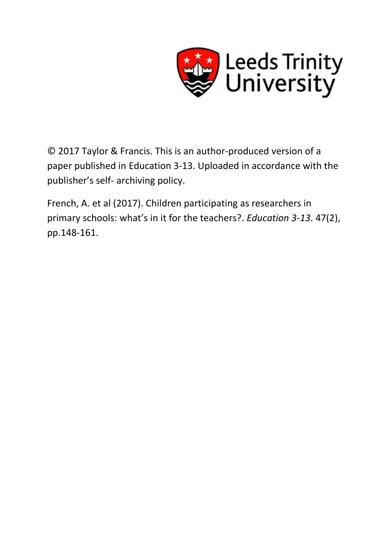

© 2017 Taylor & Francis. This is an author-produced version of a paper published in Education 3-13. Uploaded in accordance with the publisher's self- archiving policy.

French, A. et al (2017). Children participating as researchers in primary schools: what's in it for the teachers?. *Education 3-13*. 47(2), pp.148-161.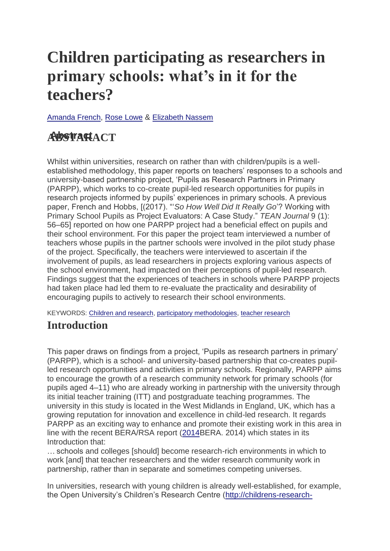# **Children participating as researchers in primary schools: what's in it for the teachers?**

[Amanda French](http://www.tandfonline.com/author/French%2C+Amanda), [Rose Lowe](http://www.tandfonline.com/author/Lowe%2C+Rose) & [Elizabeth Nassem](http://www.tandfonline.com/author/Nassem%2C+Elizabeth)

# **ABST Abstract ARACT**

Whilst within universities, research on rather than with children/pupils is a wellestablished methodology, this paper reports on teachers' responses to a schools and university-based partnership project, 'Pupils as Research Partners in Primary (PARPP), which works to co-create pupil-led research opportunities for pupils in research projects informed by pupils' experiences in primary schools. A previous paper, French and Hobbs, [(2017). "'*So How Well Did It Really Go*'? Working with Primary School Pupils as Project Evaluators: A Case Study." *TEAN Journal* 9 (1): 56–65] reported on how one PARPP project had a beneficial effect on pupils and their school environment. For this paper the project team interviewed a number of teachers whose pupils in the partner schools were involved in the pilot study phase of the project. Specifically, the teachers were interviewed to ascertain if the involvement of pupils, as lead researchers in projects exploring various aspects of the school environment, had impacted on their perceptions of pupil-led research. Findings suggest that the experiences of teachers in schools where PARPP projects had taken place had led them to re-evaluate the practicality and desirability of encouraging pupils to actively to research their school environments.

KEYWORDS: [Children and research,](http://www.tandfonline.com/keyword/Children+And+Research) [participatory methodologies,](http://www.tandfonline.com/keyword/Participatory+Methodologies) [teacher research](http://www.tandfonline.com/keyword/Teacher+Research)

# **Introduction**

This paper draws on findings from a project, 'Pupils as research partners in primary' (PARPP), which is a school- and university-based partnership that co-creates pupilled research opportunities and activities in primary schools. Regionally, PARPP aims to encourage the growth of a research community network for primary schools (for pupils aged 4–11) who are already working in partnership with the university through its initial teacher training (ITT) and postgraduate teaching programmes. The university in this study is located in the West Midlands in England, UK, which has a growing reputation for innovation and excellence in child-led research. It regards PARPP as an exciting way to enhance and promote their existing work in this area in line with the recent BERA/RSA report [\(2014B](http://www.tandfonline.com/doi/full/10.1080/03004279.2017.1414280)ERA. 2014) which states in its Introduction that:

… schools and colleges [should] become research-rich environments in which to work [and] that teacher researchers and the wider research community work in partnership, rather than in separate and sometimes competing universes.

In universities, research with young children is already well-established, for example, the Open University's Children's Research Centre [\(http://childrens-research-](http://childrens-research-centre.open.ac.uk/)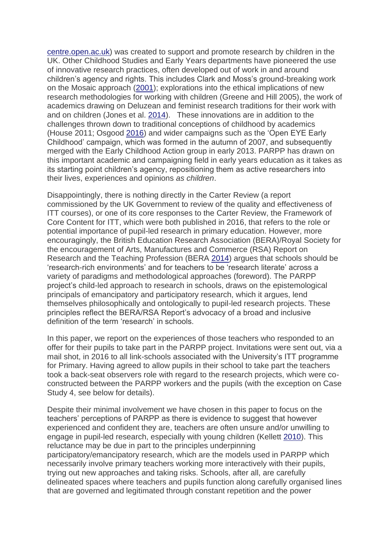[centre.open.ac.uk\)](http://childrens-research-centre.open.ac.uk/) was created to support and promote research by children in the UK. Other Childhood Studies and Early Years departments have pioneered the use of innovative research practices, often developed out of work in and around children's agency and rights. This includes Clark and Moss's ground-breaking work on the Mosaic approach [\(2001\)](http://www.tandfonline.com/doi/full/10.1080/03004279.2017.1414280); explorations into the ethical implications of new research methodologies for working with children (Greene and Hill 2005), the work of academics drawing on Deluzean and feminist research traditions for their work with and on children (Jones et al. [2014\)](http://www.tandfonline.com/doi/full/10.1080/03004279.2017.1414280). These innovations are in addition to the challenges thrown down to traditional conceptions of childhood by academics (House 2011; Osgood [2016\)](http://www.tandfonline.com/doi/full/10.1080/03004279.2017.1414280) and wider campaigns such as the 'Open EYE Early Childhood' campaign, which was formed in the autumn of 2007, and subsequently merged with the Early Childhood Action group in early 2013. PARPP has drawn on this important academic and campaigning field in early years education as it takes as its starting point children's agency, repositioning them as active researchers into their lives, experiences and opinions *as children*.

Disappointingly, there is nothing directly in the Carter Review (a report commissioned by the UK Government to review of the quality and effectiveness of ITT courses), or one of its core responses to the Carter Review, the Framework of Core Content for ITT, which were both published in 2016, that refers to the role or potential importance of pupil-led research in primary education. However, more encouragingly, the British Education Research Association (BERA)/Royal Society for the encouragement of Arts, Manufactures and Commerce (RSA) Report on Research and the Teaching Profession (BERA [2014\)](http://www.tandfonline.com/doi/full/10.1080/03004279.2017.1414280) argues that schools should be 'research-rich environments' and for teachers to be 'research literate' across a variety of paradigms and methodological approaches (foreword). The PARPP project's child-led approach to research in schools, draws on the epistemological principals of emancipatory and participatory research, which it argues, lend themselves philosophically and ontologically to pupil-led research projects. These principles reflect the BERA/RSA Report's advocacy of a broad and inclusive definition of the term 'research' in schools.

In this paper, we report on the experiences of those teachers who responded to an offer for their pupils to take part in the PARPP project. Invitations were sent out, via a mail shot, in 2016 to all link-schools associated with the University's ITT programme for Primary. Having agreed to allow pupils in their school to take part the teachers took a back-seat observers role with regard to the research projects, which were coconstructed between the PARPP workers and the pupils (with the exception on Case Study 4, see below for details).

Despite their minimal involvement we have chosen in this paper to focus on the teachers' perceptions of PARPP as there is evidence to suggest that however experienced and confident they are, teachers are often unsure and/or unwilling to engage in pupil-led research, especially with young children (Kellett [2010\)](http://www.tandfonline.com/doi/full/10.1080/03004279.2017.1414280). This reluctance may be due in part to the principles underpinning participatory/emancipatory research, which are the models used in PARPP which necessarily involve primary teachers working more interactively with their pupils, trying out new approaches and taking risks. Schools, after all, are carefully delineated spaces where teachers and pupils function along carefully organised lines that are governed and legitimated through constant repetition and the power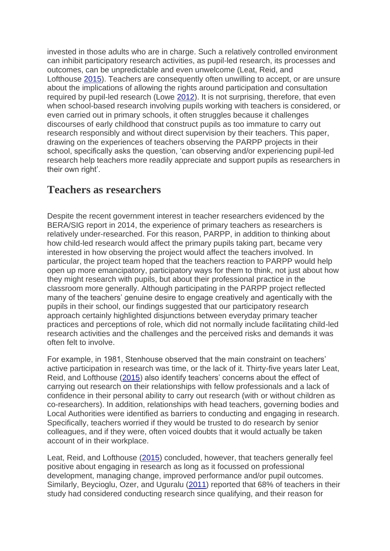invested in those adults who are in charge. Such a relatively controlled environment can inhibit participatory research activities, as pupil-led research, its processes and outcomes, can be unpredictable and even unwelcome (Leat, Reid, and Lofthouse [2015\)](http://www.tandfonline.com/doi/full/10.1080/03004279.2017.1414280). Teachers are consequently often unwilling to accept, or are unsure about the implications of allowing the rights around participation and consultation required by pupil-led research (Lowe [2012\)](http://www.tandfonline.com/doi/full/10.1080/03004279.2017.1414280). It is not surprising, therefore, that even when school-based research involving pupils working with teachers is considered, or even carried out in primary schools, it often struggles because it challenges discourses of early childhood that construct pupils as too immature to carry out research responsibly and without direct supervision by their teachers. This paper, drawing on the experiences of teachers observing the PARPP projects in their school, specifically asks the question, 'can observing and/or experiencing pupil-led research help teachers more readily appreciate and support pupils as researchers in their own right'.

### **Teachers as researchers**

Despite the recent government interest in teacher researchers evidenced by the BERA/SIG report in 2014, the experience of primary teachers as researchers is relatively under-researched. For this reason, PARPP, in addition to thinking about how child-led research would affect the primary pupils taking part, became very interested in how observing the project would affect the teachers involved. In particular, the project team hoped that the teachers reaction to PARPP would help open up more emancipatory, participatory ways for them to think, not just about how they might research with pupils, but about their professional practice in the classroom more generally. Although participating in the PARPP project reflected many of the teachers' genuine desire to engage creatively and agentically with the pupils in their school, our findings suggested that our participatory research approach certainly highlighted disjunctions between everyday primary teacher practices and perceptions of role, which did not normally include facilitating child-led research activities and the challenges and the perceived risks and demands it was often felt to involve.

For example, in 1981, Stenhouse observed that the main constraint on teachers' active participation in research was time, or the lack of it. Thirty-five years later Leat, Reid, and Lofthouse [\(2015\)](http://www.tandfonline.com/doi/full/10.1080/03004279.2017.1414280) also identify teachers' concerns about the effect of carrying out research on their relationships with fellow professionals and a lack of confidence in their personal ability to carry out research (with or without children as co-researchers). In addition, relationships with head teachers, governing bodies and Local Authorities were identified as barriers to conducting and engaging in research. Specifically, teachers worried if they would be trusted to do research by senior colleagues, and if they were, often voiced doubts that it would actually be taken account of in their workplace.

Leat, Reid, and Lofthouse [\(2015\)](http://www.tandfonline.com/doi/full/10.1080/03004279.2017.1414280) concluded, however, that teachers generally feel positive about engaging in research as long as it focussed on professional development, managing change, improved performance and/or pupil outcomes. Similarly, Beycioglu, Ozer, and Uguralu [\(2011\)](http://www.tandfonline.com/doi/full/10.1080/03004279.2017.1414280) reported that 68% of teachers in their study had considered conducting research since qualifying, and their reason for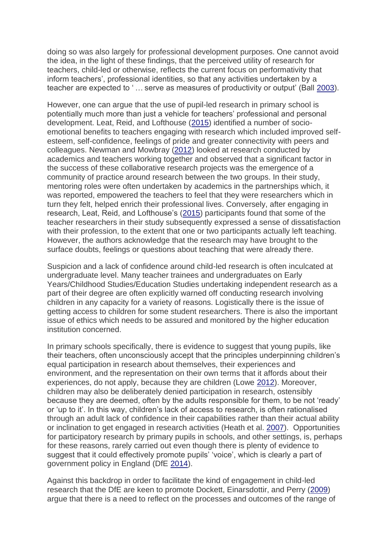doing so was also largely for professional development purposes. One cannot avoid the idea, in the light of these findings, that the perceived utility of research for teachers, child-led or otherwise, reflects the current focus on performativity that inform teachers', professional identities, so that any activities undertaken by a teacher are expected to ' … serve as measures of productivity or output' (Ball [2003\)](http://www.tandfonline.com/doi/full/10.1080/03004279.2017.1414280).

However, one can argue that the use of pupil-led research in primary school is potentially much more than just a vehicle for teachers' professional and personal development. Leat, Reid, and Lofthouse [\(2015\)](http://www.tandfonline.com/doi/full/10.1080/03004279.2017.1414280) identified a number of socioemotional benefits to teachers engaging with research which included improved selfesteem, self-confidence, feelings of pride and greater connectivity with peers and colleagues. Newman and Mowbray [\(2012\)](http://www.tandfonline.com/doi/full/10.1080/03004279.2017.1414280) looked at research conducted by academics and teachers working together and observed that a significant factor in the success of these collaborative research projects was the emergence of a community of practice around research between the two groups. In their study, mentoring roles were often undertaken by academics in the partnerships which, it was reported, empowered the teachers to feel that they were researchers which in turn they felt, helped enrich their professional lives. Conversely, after engaging in research, Leat, Reid, and Lofthouse's [\(2015\)](http://www.tandfonline.com/doi/full/10.1080/03004279.2017.1414280) participants found that some of the teacher researchers in their study subsequently expressed a sense of dissatisfaction with their profession, to the extent that one or two participants actually left teaching. However, the authors acknowledge that the research may have brought to the surface doubts, feelings or questions about teaching that were already there.

Suspicion and a lack of confidence around child-led research is often inculcated at undergraduate level. Many teacher trainees and undergraduates on Early Years/Childhood Studies/Education Studies undertaking independent research as a part of their degree are often explicitly warned off conducting research involving children in any capacity for a variety of reasons. Logistically there is the issue of getting access to children for some student researchers. There is also the important issue of ethics which needs to be assured and monitored by the higher education institution concerned.

In primary schools specifically, there is evidence to suggest that young pupils, like their teachers, often unconsciously accept that the principles underpinning children's equal participation in research about themselves, their experiences and environment, and the representation on their own terms that it affords about their experiences, do not apply, because they are children (Lowe [2012\)](http://www.tandfonline.com/doi/full/10.1080/03004279.2017.1414280). Moreover, children may also be deliberately denied participation in research, ostensibly because they are deemed, often by the adults responsible for them, to be not 'ready' or 'up to it'. In this way, children's lack of access to research, is often rationalised through an adult lack of confidence in their capabilities rather than their actual ability or inclination to get engaged in research activities (Heath et al. [2007\)](http://www.tandfonline.com/doi/full/10.1080/03004279.2017.1414280). Opportunities for participatory research by primary pupils in schools, and other settings, is, perhaps for these reasons, rarely carried out even though there is plenty of evidence to suggest that it could effectively promote pupils' 'voice', which is clearly a part of government policy in England (DfE [2014\)](http://www.tandfonline.com/doi/full/10.1080/03004279.2017.1414280).

Against this backdrop in order to facilitate the kind of engagement in child-led research that the DfE are keen to promote Dockett, Einarsdottir, and Perry [\(2009\)](http://www.tandfonline.com/doi/full/10.1080/03004279.2017.1414280) argue that there is a need to reflect on the processes and outcomes of the range of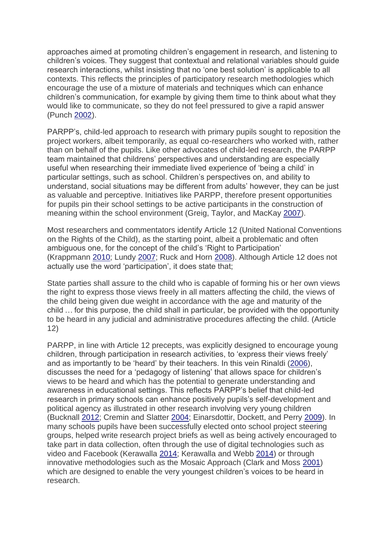approaches aimed at promoting children's engagement in research, and listening to children's voices. They suggest that contextual and relational variables should guide research interactions, whilst insisting that no 'one best solution' is applicable to all contexts. This reflects the principles of participatory research methodologies which encourage the use of a mixture of materials and techniques which can enhance children's communication, for example by giving them time to think about what they would like to communicate, so they do not feel pressured to give a rapid answer (Punch [2002\)](http://www.tandfonline.com/doi/full/10.1080/03004279.2017.1414280).

PARPP's, child-led approach to research with primary pupils sought to reposition the project workers, albeit temporarily, as equal co-researchers who worked with, rather than on behalf of the pupils. Like other advocates of child-led research, the PARPP team maintained that childrens' perspectives and understanding are especially useful when researching their immediate lived experience of 'being a child' in particular settings, such as school. Children's perspectives on, and ability to understand, social situations may be different from adults' however, they can be just as valuable and perceptive. Initiatives like PARPP, therefore present opportunities for pupils pin their school settings to be active participants in the construction of meaning within the school environment (Greig, Taylor, and MacKay [2007\)](http://www.tandfonline.com/doi/full/10.1080/03004279.2017.1414280).

Most researchers and commentators identify Article 12 (United National Conventions on the Rights of the Child), as the starting point, albeit a problematic and often ambiguous one, for the concept of the child's 'Right to Participation' (Krappmann [2010;](http://www.tandfonline.com/doi/full/10.1080/03004279.2017.1414280) Lundy [2007;](http://www.tandfonline.com/doi/full/10.1080/03004279.2017.1414280) Ruck and Horn [2008\)](http://www.tandfonline.com/doi/full/10.1080/03004279.2017.1414280). Although Article 12 does not actually use the word 'participation', it does state that;

State parties shall assure to the child who is capable of forming his or her own views the right to express those views freely in all matters affecting the child, the views of the child being given due weight in accordance with the age and maturity of the child … for this purpose, the child shall in particular, be provided with the opportunity to be heard in any judicial and administrative procedures affecting the child. (Article 12)

PARPP, in line with Article 12 precepts, was explicitly designed to encourage young children, through participation in research activities, to 'express their views freely' and as importantly to be 'heard' by their teachers. In this vein Rinaldi [\(2006\)](http://www.tandfonline.com/doi/full/10.1080/03004279.2017.1414280), discusses the need for a 'pedagogy of listening' that allows space for children's views to be heard and which has the potential to generate understanding and awareness in educational settings. This reflects PARPP's belief that child-led research in primary schools can enhance positively pupils's self-development and political agency as illustrated in other research involving very young children (Bucknall [2012;](http://www.tandfonline.com/doi/full/10.1080/03004279.2017.1414280) Cremin and Slatter [2004;](http://www.tandfonline.com/doi/full/10.1080/03004279.2017.1414280) Einarsdottir, Dockett, and Perry [2009\)](http://www.tandfonline.com/doi/full/10.1080/03004279.2017.1414280). In many schools pupils have been successfully elected onto school project steering groups, helped write research project briefs as well as being actively encouraged to take part in data collection, often through the use of digital technologies such as video and Facebook (Kerawalla [2014;](http://www.tandfonline.com/doi/full/10.1080/03004279.2017.1414280) Kerawalla and Webb [2014\)](http://www.tandfonline.com/doi/full/10.1080/03004279.2017.1414280) or through innovative methodologies such as the Mosaic Approach (Clark and Moss [2001\)](http://www.tandfonline.com/doi/full/10.1080/03004279.2017.1414280) which are designed to enable the very youngest children's voices to be heard in research.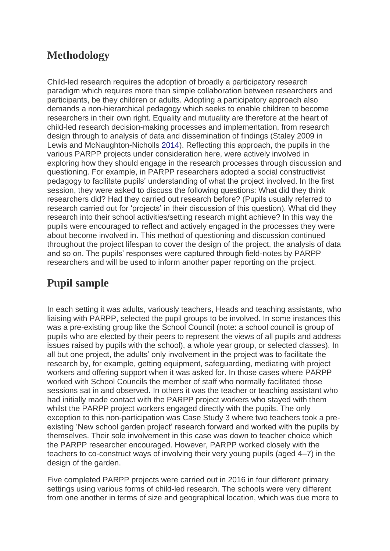# **Methodology**

Child-led research requires the adoption of broadly a participatory research paradigm which requires more than simple collaboration between researchers and participants, be they children or adults. Adopting a participatory approach also demands a non-hierarchical pedagogy which seeks to enable children to become researchers in their own right. Equality and mutuality are therefore at the heart of child-led research decision-making processes and implementation, from research design through to analysis of data and dissemination of findings (Staley 2009 in Lewis and McNaughton-Nicholls [2014\)](http://www.tandfonline.com/doi/full/10.1080/03004279.2017.1414280). Reflecting this approach, the pupils in the various PARPP projects under consideration here, were actively involved in exploring how they should engage in the research processes through discussion and questioning. For example, in PARPP researchers adopted a social constructivist pedagogy to facilitate pupils' understanding of what the project involved. In the first session, they were asked to discuss the following questions: What did they think researchers did? Had they carried out research before? (Pupils usually referred to research carried out for 'projects' in their discussion of this question). What did they research into their school activities/setting research might achieve? In this way the pupils were encouraged to reflect and actively engaged in the processes they were about become involved in. This method of questioning and discussion continued throughout the project lifespan to cover the design of the project, the analysis of data and so on. The pupils' responses were captured through field-notes by PARPP researchers and will be used to inform another paper reporting on the project.

# **Pupil sample**

In each setting it was adults, variously teachers, Heads and teaching assistants, who liaising with PARPP, selected the pupil groups to be involved. In some instances this was a pre-existing group like the School Council (note: a school council is group of pupils who are elected by their peers to represent the views of all pupils and address issues raised by pupils with the school), a whole year group, or selected classes). In all but one project, the adults' only involvement in the project was to facilitate the research by, for example, getting equipment, safeguarding, mediating with project workers and offering support when it was asked for. In those cases where PARPP worked with School Councils the member of staff who normally facilitated those sessions sat in and observed. In others it was the teacher or teaching assistant who had initially made contact with the PARPP project workers who stayed with them whilst the PARPP project workers engaged directly with the pupils. The only exception to this non-participation was Case Study 3 where two teachers took a preexisting 'New school garden project' research forward and worked with the pupils by themselves. Their sole involvement in this case was down to teacher choice which the PARPP researcher encouraged. However, PARPP worked closely with the teachers to co-construct ways of involving their very young pupils (aged 4–7) in the design of the garden.

Five completed PARPP projects were carried out in 2016 in four different primary settings using various forms of child-led research. The schools were very different from one another in terms of size and geographical location, which was due more to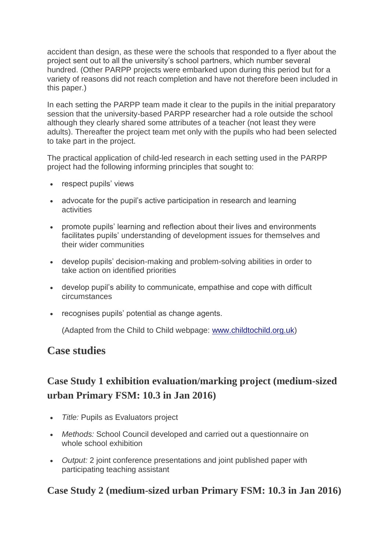accident than design, as these were the schools that responded to a flyer about the project sent out to all the university's school partners, which number several hundred. (Other PARPP projects were embarked upon during this period but for a variety of reasons did not reach completion and have not therefore been included in this paper.)

In each setting the PARPP team made it clear to the pupils in the initial preparatory session that the university-based PARPP researcher had a role outside the school although they clearly shared some attributes of a teacher (not least they were adults). Thereafter the project team met only with the pupils who had been selected to take part in the project.

The practical application of child-led research in each setting used in the PARPP project had the following informing principles that sought to:

- respect pupils' views
- advocate for the pupil's active participation in research and learning activities
- promote pupils' learning and reflection about their lives and environments facilitates pupils' understanding of development issues for themselves and their wider communities
- develop pupils' decision-making and problem-solving abilities in order to take action on identified priorities
- develop pupil's ability to communicate, empathise and cope with difficult circumstances
- recognises pupils' potential as change agents.

(Adapted from the Child to Child webpage: [www.childtochild.org.uk\)](http://www.childtochild.org.uk/)

### **Case studies**

# **Case Study 1 exhibition evaluation/marking project (medium-sized urban Primary FSM: 10.3 in Jan 2016)**

- *Title:* Pupils as Evaluators project
- *Methods:* School Council developed and carried out a questionnaire on whole school exhibition
- *Output:* 2 joint conference presentations and joint published paper with participating teaching assistant

### **Case Study 2 (medium-sized urban Primary FSM: 10.3 in Jan 2016)**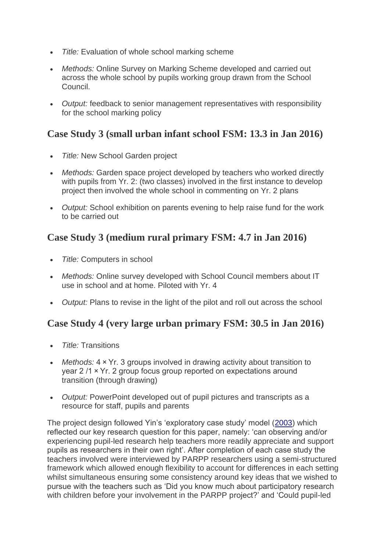- *Title:* Evaluation of whole school marking scheme
- *Methods:* Online Survey on Marking Scheme developed and carried out across the whole school by pupils working group drawn from the School Council.
- *Output:* feedback to senior management representatives with responsibility for the school marking policy

### **Case Study 3 (small urban infant school FSM: 13.3 in Jan 2016)**

- *Title:* New School Garden project
- *Methods:* Garden space project developed by teachers who worked directly with pupils from Yr. 2: (two classes) involved in the first instance to develop project then involved the whole school in commenting on Yr. 2 plans
- *Output:* School exhibition on parents evening to help raise fund for the work to be carried out

### **Case Study 3 (medium rural primary FSM: 4.7 in Jan 2016)**

- *Title:* Computers in school
- *Methods:* Online survey developed with School Council members about IT use in school and at home. Piloted with Yr. 4
- *Output:* Plans to revise in the light of the pilot and roll out across the school

### **Case Study 4 (very large urban primary FSM: 30.5 in Jan 2016)**

- *Title:* Transitions
- *Methods:*  $4 \times Yr$ . 3 groups involved in drawing activity about transition to year 2 /1 × Yr. 2 group focus group reported on expectations around transition (through drawing)
- *Output:* PowerPoint developed out of pupil pictures and transcripts as a resource for staff, pupils and parents

The project design followed Yin's 'exploratory case study' model [\(2003\)](http://www.tandfonline.com/doi/full/10.1080/03004279.2017.1414280) which reflected our key research question for this paper, namely: 'can observing and/or experiencing pupil-led research help teachers more readily appreciate and support pupils as researchers in their own right'. After completion of each case study the teachers involved were interviewed by PARPP researchers using a semi-structured framework which allowed enough flexibility to account for differences in each setting whilst simultaneous ensuring some consistency around key ideas that we wished to pursue with the teachers such as 'Did you know much about participatory research with children before your involvement in the PARPP project?' and 'Could pupil-led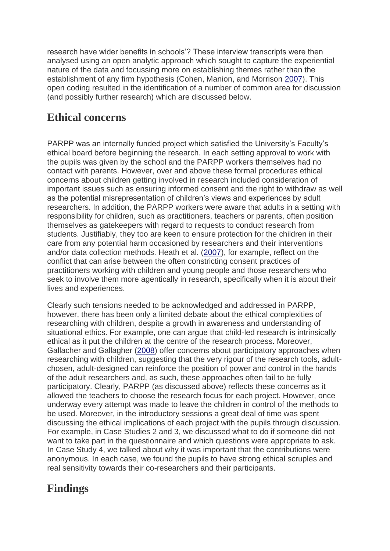research have wider benefits in schools'? These interview transcripts were then analysed using an open analytic approach which sought to capture the experiential nature of the data and focussing more on establishing themes rather than the establishment of any firm hypothesis (Cohen, Manion, and Morrison [2007\)](http://www.tandfonline.com/doi/full/10.1080/03004279.2017.1414280). This open coding resulted in the identification of a number of common area for discussion (and possibly further research) which are discussed below.

# **Ethical concerns**

PARPP was an internally funded project which satisfied the University's Faculty's ethical board before beginning the research. In each setting approval to work with the pupils was given by the school and the PARPP workers themselves had no contact with parents. However, over and above these formal procedures ethical concerns about children getting involved in research included consideration of important issues such as ensuring informed consent and the right to withdraw as well as the potential misrepresentation of children's views and experiences by adult researchers. In addition, the PARPP workers were aware that adults in a setting with responsibility for children, such as practitioners, teachers or parents, often position themselves as gatekeepers with regard to requests to conduct research from students. Justifiably, they too are keen to ensure protection for the children in their care from any potential harm occasioned by researchers and their interventions and/or data collection methods. Heath et al. [\(2007\)](http://www.tandfonline.com/doi/full/10.1080/03004279.2017.1414280), for example, reflect on the conflict that can arise between the often constricting consent practices of practitioners working with children and young people and those researchers who seek to involve them more agentically in research, specifically when it is about their lives and experiences.

Clearly such tensions needed to be acknowledged and addressed in PARPP, however, there has been only a limited debate about the ethical complexities of researching with children, despite a growth in awareness and understanding of situational ethics. For example, one can argue that child-led research is intrinsically ethical as it put the children at the centre of the research process. Moreover, Gallacher and Gallagher [\(2008\)](http://www.tandfonline.com/doi/full/10.1080/03004279.2017.1414280) offer concerns about participatory approaches when researching with children, suggesting that the very rigour of the research tools, adultchosen, adult-designed can reinforce the position of power and control in the hands of the adult researchers and, as such, these approaches often fail to be fully participatory. Clearly, PARPP (as discussed above) reflects these concerns as it allowed the teachers to choose the research focus for each project. However, once underway every attempt was made to leave the children in control of the methods to be used. Moreover, in the introductory sessions a great deal of time was spent discussing the ethical implications of each project with the pupils through discussion. For example, in Case Studies 2 and 3, we discussed what to do if someone did not want to take part in the questionnaire and which questions were appropriate to ask. In Case Study 4, we talked about why it was important that the contributions were anonymous. In each case, we found the pupils to have strong ethical scruples and real sensitivity towards their co-researchers and their participants.

# **Findings**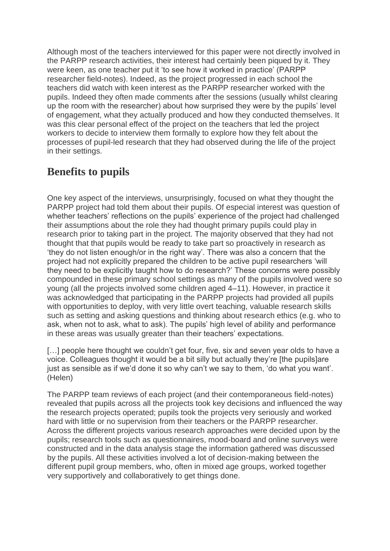Although most of the teachers interviewed for this paper were not directly involved in the PARPP research activities, their interest had certainly been piqued by it. They were keen, as one teacher put it 'to see how it worked in practice' (PARPP researcher field-notes). Indeed, as the project progressed in each school the teachers did watch with keen interest as the PARPP researcher worked with the pupils. Indeed they often made comments after the sessions (usually whilst clearing up the room with the researcher) about how surprised they were by the pupils' level of engagement, what they actually produced and how they conducted themselves. It was this clear personal effect of the project on the teachers that led the project workers to decide to interview them formally to explore how they felt about the processes of pupil-led research that they had observed during the life of the project in their settings.

# **Benefits to pupils**

One key aspect of the interviews, unsurprisingly, focused on what they thought the PARPP project had told them about their pupils. Of especial interest was question of whether teachers' reflections on the pupils' experience of the project had challenged their assumptions about the role they had thought primary pupils could play in research prior to taking part in the project. The majority observed that they had not thought that that pupils would be ready to take part so proactively in research as 'they do not listen enough/or in the right way'. There was also a concern that the project had not explicitly prepared the children to be active pupil researchers 'will they need to be explicitly taught how to do research?' These concerns were possibly compounded in these primary school settings as many of the pupils involved were so young (all the projects involved some children aged 4–11). However, in practice it was acknowledged that participating in the PARPP projects had provided all pupils with opportunities to deploy, with very little overt teaching, valuable research skills such as setting and asking questions and thinking about research ethics (e.g. who to ask, when not to ask, what to ask). The pupils' high level of ability and performance in these areas was usually greater than their teachers' expectations.

[...] people here thought we couldn't get four, five, six and seven year olds to have a voice. Colleagues thought it would be a bit silly but actually they're [the pupils]are just as sensible as if we'd done it so why can't we say to them, 'do what you want'. (Helen)

The PARPP team reviews of each project (and their contemporaneous field-notes) revealed that pupils across all the projects took key decisions and influenced the way the research projects operated; pupils took the projects very seriously and worked hard with little or no supervision from their teachers or the PARPP researcher. Across the different projects various research approaches were decided upon by the pupils; research tools such as questionnaires, mood-board and online surveys were constructed and in the data analysis stage the information gathered was discussed by the pupils. All these activities involved a lot of decision-making between the different pupil group members, who, often in mixed age groups, worked together very supportively and collaboratively to get things done.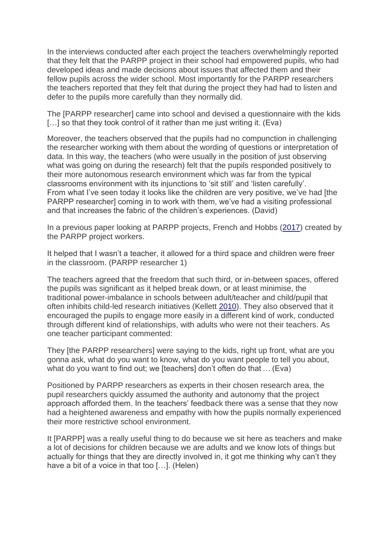In the interviews conducted after each project the teachers overwhelmingly reported that they felt that the PARPP project in their school had empowered pupils, who had developed ideas and made decisions about issues that affected them and their fellow pupils across the wider school. Most importantly for the PARPP researchers the teachers reported that they felt that during the project they had had to listen and defer to the pupils more carefully than they normally did.

The [PARPP researcher] came into school and devised a questionnaire with the kids [...] so that they took control of it rather than me just writing it. (Eva)

Moreover, the teachers observed that the pupils had no compunction in challenging the researcher working with them about the wording of questions or interpretation of data. In this way, the teachers (who were usually in the position of just observing what was going on during the research) felt that the pupils responded positively to their more autonomous research environment which was far from the typical classrooms environment with its injunctions to 'sit still' and 'listen carefully'. From what I've seen today it looks like the children are very positive, we've had [the PARPP researcher] coming in to work with them, we've had a visiting professional and that increases the fabric of the children's experiences. (David)

In a previous paper looking at PARPP projects, French and Hobbs [\(2017\)](http://www.tandfonline.com/doi/full/10.1080/03004279.2017.1414280) created by the PARPP project workers.

It helped that I wasn't a teacher, it allowed for a third space and children were freer in the classroom. (PARPP researcher 1)

The teachers agreed that the freedom that such third, or in-between spaces, offered the pupils was significant as it helped break down, or at least minimise, the traditional power-imbalance in schools between adult/teacher and child/pupil that often inhibits child-led research initiatives (Kellett [2010\)](http://www.tandfonline.com/doi/full/10.1080/03004279.2017.1414280). They also observed that it encouraged the pupils to engage more easily in a different kind of work, conducted through different kind of relationships, with adults who were not their teachers. As one teacher participant commented:

They [the PARPP researchers] were saying to the kids, right up front, what are you gonna ask, what do you want to know, what do you want people to tell you about, what do you want to find out; we [teachers] don't often do that ... (Eva)

Positioned by PARPP researchers as experts in their chosen research area, the pupil researchers quickly assumed the authority and autonomy that the project approach afforded them. In the teachers' feedback there was a sense that they now had a heightened awareness and empathy with how the pupils normally experienced their more restrictive school environment.

It [PARPP] was a really useful thing to do because we sit here as teachers and make a lot of decisions for children because we are adults and we know lots of things but actually for things that they are directly involved in, it got me thinking why can't they have a bit of a voice in that too […]. (Helen)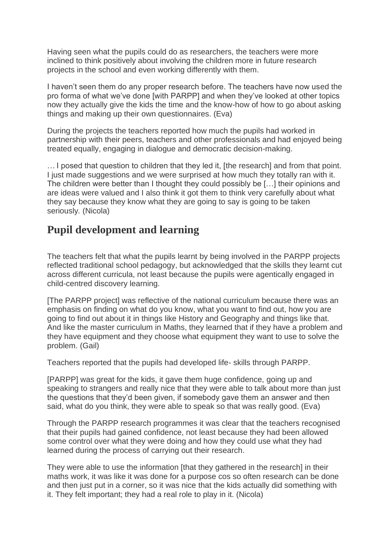Having seen what the pupils could do as researchers, the teachers were more inclined to think positively about involving the children more in future research projects in the school and even working differently with them.

I haven't seen them do any proper research before. The teachers have now used the pro forma of what we've done [with PARPP] and when they've looked at other topics now they actually give the kids the time and the know-how of how to go about asking things and making up their own questionnaires. (Eva)

During the projects the teachers reported how much the pupils had worked in partnership with their peers, teachers and other professionals and had enjoyed being treated equally, engaging in dialogue and democratic decision-making.

… I posed that question to children that they led it, [the research] and from that point. I just made suggestions and we were surprised at how much they totally ran with it. The children were better than I thought they could possibly be [...] their opinions and are ideas were valued and I also think it got them to think very carefully about what they say because they know what they are going to say is going to be taken seriously*.* (Nicola)

# **Pupil development and learning**

The teachers felt that what the pupils learnt by being involved in the PARPP projects reflected traditional school pedagogy, but acknowledged that the skills they learnt cut across different curricula, not least because the pupils were agentically engaged in child-centred discovery learning.

[The PARPP project] was reflective of the national curriculum because there was an emphasis on finding on what do you know, what you want to find out, how you are going to find out about it in things like History and Geography and things like that. And like the master curriculum in Maths, they learned that if they have a problem and they have equipment and they choose what equipment they want to use to solve the problem. (Gail)

Teachers reported that the pupils had developed life- skills through PARPP.

[PARPP] was great for the kids, it gave them huge confidence, going up and speaking to strangers and really nice that they were able to talk about more than just the questions that they'd been given, if somebody gave them an answer and then said, what do you think, they were able to speak so that was really good. (Eva)

Through the PARPP research programmes it was clear that the teachers recognised that their pupils had gained confidence, not least because they had been allowed some control over what they were doing and how they could use what they had learned during the process of carrying out their research.

They were able to use the information [that they gathered in the research] in their maths work, it was like it was done for a purpose cos so often research can be done and then just put in a corner, so it was nice that the kids actually did something with it. They felt important; they had a real role to play in it. (Nicola)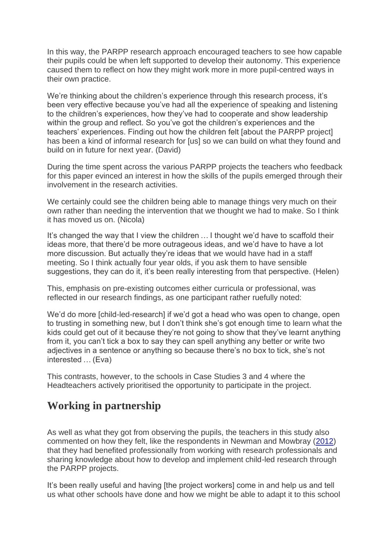In this way, the PARPP research approach encouraged teachers to see how capable their pupils could be when left supported to develop their autonomy. This experience caused them to reflect on how they might work more in more pupil-centred ways in their own practice.

We're thinking about the children's experience through this research process, it's been very effective because you've had all the experience of speaking and listening to the children's experiences, how they've had to cooperate and show leadership within the group and reflect. So you've got the children's experiences and the teachers' experiences. Finding out how the children felt [about the PARPP project] has been a kind of informal research for [us] so we can build on what they found and build on in future for next year. (David)

During the time spent across the various PARPP projects the teachers who feedback for this paper evinced an interest in how the skills of the pupils emerged through their involvement in the research activities.

We certainly could see the children being able to manage things very much on their own rather than needing the intervention that we thought we had to make. So I think it has moved us on. (Nicola)

It's changed the way that I view the children … I thought we'd have to scaffold their ideas more, that there'd be more outrageous ideas, and we'd have to have a lot more discussion. But actually they're ideas that we would have had in a staff meeting. So I think actually four year olds, if you ask them to have sensible suggestions, they can do it, it's been really interesting from that perspective. (Helen)

This, emphasis on pre-existing outcomes either curricula or professional, was reflected in our research findings, as one participant rather ruefully noted:

We'd do more [child-led-research] if we'd got a head who was open to change, open to trusting in something new, but I don't think she's got enough time to learn what the kids could get out of it because they're not going to show that they've learnt anything from it, you can't tick a box to say they can spell anything any better or write two adjectives in a sentence or anything so because there's no box to tick, she's not interested … (Eva)

This contrasts, however, to the schools in Case Studies 3 and 4 where the Headteachers actively prioritised the opportunity to participate in the project.

### **Working in partnership**

As well as what they got from observing the pupils, the teachers in this study also commented on how they felt, like the respondents in Newman and Mowbray [\(2012\)](http://www.tandfonline.com/doi/full/10.1080/03004279.2017.1414280) that they had benefited professionally from working with research professionals and sharing knowledge about how to develop and implement child-led research through the PARPP projects.

It's been really useful and having [the project workers] come in and help us and tell us what other schools have done and how we might be able to adapt it to this school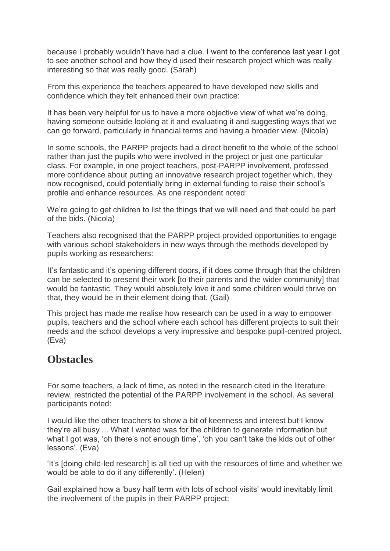because I probably wouldn't have had a clue. I went to the conference last year I got to see another school and how they'd used their research project which was really interesting so that was really good. (Sarah)

From this experience the teachers appeared to have developed new skills and confidence which they felt enhanced their own practice:

It has been very helpful for us to have a more objective view of what we're doing, having someone outside looking at it and evaluating it and suggesting ways that we can go forward, particularly in financial terms and having a broader view. (Nicola)

In some schools, the PARPP projects had a direct benefit to the whole of the school rather than just the pupils who were involved in the project or just one particular class. For example, in one project teachers, post-PARPP involvement, professed more confidence about putting an innovative research project together which, they now recognised, could potentially bring in external funding to raise their school's profile and enhance resources. As one respondent noted:

We're going to get children to list the things that we will need and that could be part of the bids. (Nicola)

Teachers also recognised that the PARPP project provided opportunities to engage with various school stakeholders in new ways through the methods developed by pupils working as researchers:

It's fantastic and it's opening different doors, if it does come through that the children can be selected to present their work [to their parents and the wider community] that would be fantastic. They would absolutely love it and some children would thrive on that, they would be in their element doing that. (Gail)

This project has made me realise how research can be used in a way to empower pupils, teachers and the school where each school has different projects to suit their needs and the school develops a very impressive and bespoke pupil-centred project. (Eva)

### **Obstacles**

For some teachers, a lack of time, as noted in the research cited in the literature review, restricted the potential of the PARPP involvement in the school. As several participants noted:

I would like the other teachers to show a bit of keenness and interest but I know they're all busy … What I wanted was for the children to generate information but what I got was, 'oh there's not enough time', 'oh you can't take the kids out of other lessons'. (Eva)

'It's [doing child-led research] is all tied up with the resources of time and whether we would be able to do it any differently'. (Helen)

Gail explained how a 'busy half term with lots of school visits' would inevitably limit the involvement of the pupils in their PARPP project: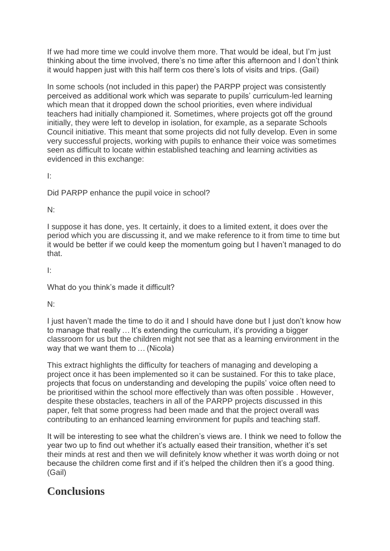If we had more time we could involve them more. That would be ideal, but I'm just thinking about the time involved, there's no time after this afternoon and I don't think it would happen just with this half term cos there's lots of visits and trips. (Gail)

In some schools (not included in this paper) the PARPP project was consistently perceived as additional work which was separate to pupils' curriculum-led learning which mean that it dropped down the school priorities, even where individual teachers had initially championed it. Sometimes, where projects got off the ground initially, they were left to develop in isolation, for example, as a separate Schools Council initiative. This meant that some projects did not fully develop. Even in some very successful projects, working with pupils to enhance their voice was sometimes seen as difficult to locate within established teaching and learning activities as evidenced in this exchange:

I:

Did PARPP enhance the pupil voice in school?

N:

I suppose it has done, yes. It certainly, it does to a limited extent, it does over the period which you are discussing it, and we make reference to it from time to time but it would be better if we could keep the momentum going but I haven't managed to do that.

I:

What do you think's made it difficult?

N:

I just haven't made the time to do it and I should have done but I just don't know how to manage that really … It's extending the curriculum, it's providing a bigger classroom for us but the children might not see that as a learning environment in the way that we want them to … (Nicola)

This extract highlights the difficulty for teachers of managing and developing a project once it has been implemented so it can be sustained. For this to take place, projects that focus on understanding and developing the pupils' voice often need to be prioritised within the school more effectively than was often possible . However, despite these obstacles, teachers in all of the PARPP projects discussed in this paper, felt that some progress had been made and that the project overall was contributing to an enhanced learning environment for pupils and teaching staff.

It will be interesting to see what the children's views are. I think we need to follow the year two up to find out whether it's actually eased their transition, whether it's set their minds at rest and then we will definitely know whether it was worth doing or not because the children come first and if it's helped the children then it's a good thing. (Gail)

# **Conclusions**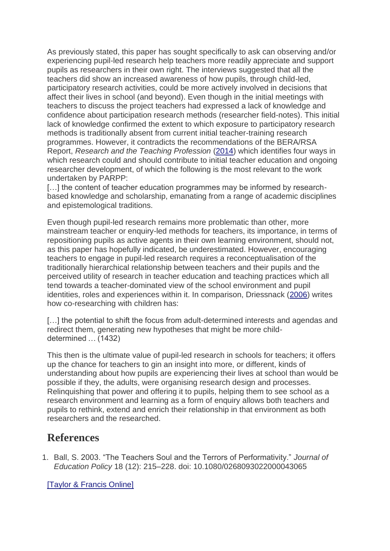As previously stated, this paper has sought specifically to ask can observing and/or experiencing pupil-led research help teachers more readily appreciate and support pupils as researchers in their own right. The interviews suggested that all the teachers did show an increased awareness of how pupils, through child-led, participatory research activities, could be more actively involved in decisions that affect their lives in school (and beyond). Even though in the initial meetings with teachers to discuss the project teachers had expressed a lack of knowledge and confidence about participation research methods (researcher field-notes). This initial lack of knowledge confirmed the extent to which exposure to participatory research methods is traditionally absent from current initial teacher-training research programmes. However, it contradicts the recommendations of the BERA/RSA Report, *Research and the Teaching Profession* [\(2014\)](http://www.tandfonline.com/doi/full/10.1080/03004279.2017.1414280) which identifies four ways in which research could and should contribute to initial teacher education and ongoing researcher development, of which the following is the most relevant to the work undertaken by PARPP:

[...] the content of teacher education programmes may be informed by researchbased knowledge and scholarship, emanating from a range of academic disciplines and epistemological traditions.

Even though pupil-led research remains more problematic than other, more mainstream teacher or enquiry-led methods for teachers, its importance, in terms of repositioning pupils as active agents in their own learning environment, should not, as this paper has hopefully indicated, be underestimated. However, encouraging teachers to engage in pupil-led research requires a reconceptualisation of the traditionally hierarchical relationship between teachers and their pupils and the perceived utility of research in teacher education and teaching practices which all tend towards a teacher-dominated view of the school environment and pupil identities, roles and experiences within it. In comparison, Driessnack [\(2006\)](http://www.tandfonline.com/doi/full/10.1080/03004279.2017.1414280) writes how co-researching with children has:

[...] the potential to shift the focus from adult-determined interests and agendas and redirect them, generating new hypotheses that might be more childdetermined … (1432)

This then is the ultimate value of pupil-led research in schools for teachers; it offers up the chance for teachers to gin an insight into more, or different, kinds of understanding about how pupils are experiencing their lives at school than would be possible if they, the adults, were organising research design and processes. Relinquishing that power and offering it to pupils, helping them to see school as a research environment and learning as a form of enquiry allows both teachers and pupils to rethink, extend and enrich their relationship in that environment as both researchers and the researched.

### **References**

1. Ball, S. 2003. "The Teachers Soul and the Terrors of Performativity." *Journal of Education Policy* 18 (12): 215–228. doi: 10.1080/0268093022000043065

[\[Taylor & Francis Online\]](http://www.tandfonline.com/doi/10.1080/0268093022000043065)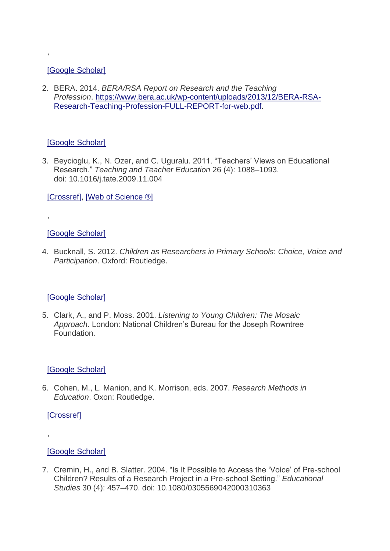#### [\[Google Scholar\]](http://scholar.google.com/scholar_lookup?hl=en&publication_year=2003&pages=215-228&issue=12&author=S.+Ball&title=The+Teachers+Soul+and+the+Terrors+of+Performativity&)

2. BERA. 2014. *BERA/RSA Report on Research and the Teaching Profession*. [https://www.bera.ac.uk/wp-content/uploads/2013/12/BERA-RSA-](https://www.bera.ac.uk/wp-content/uploads/2013/12/BERA-RSA-Research-Teaching-Profession-FULL-REPORT-for-web.pdf)[Research-Teaching-Profession-FULL-REPORT-for-web.pdf.](https://www.bera.ac.uk/wp-content/uploads/2013/12/BERA-RSA-Research-Teaching-Profession-FULL-REPORT-for-web.pdf)

#### [\[Google Scholar\]](http://scholar.google.com/scholar_lookup?hl=en&publication_year=2014&pages=215-228&issue=12&author=BERA&title=BERA/RSA+Report+on+Research+and+the+Teaching+Profession&)

3. Beycioglu, K., N. Ozer, and C. Uguralu. 2011. "Teachers' Views on Educational Research." *Teaching and Teacher Education* 26 (4): 1088–1093. doi: 10.1016/j.tate.2009.11.004

[\[Crossref\],](http://www.tandfonline.com/servlet/linkout?suffix=CIT0003&dbid=16&doi=10.1080%2F03004279.2017.1414280&key=10.1016%2Fj.tate.2009.11.004) [\[Web of Science ®\]](http://www.tandfonline.com/servlet/linkout?suffix=CIT0003&dbid=128&doi=10.1080%2F03004279.2017.1414280&key=000276590900044)

#### [\[Google Scholar\]](http://scholar.google.com/scholar_lookup?hl=en&publication_year=2011&pages=1088-1093&issue=4&author=K.+Beycioglu&author=N.+Ozer&author=C.+Uguralu&title=Teachers%E2%80%99+Views+on+Educational+Research&)

,

4. Bucknall, S. 2012. *Children as Researchers in Primary Schools*: *Choice, Voice and Participation*. Oxford: Routledge.

#### [\[Google Scholar\]](http://scholar.google.com/scholar_lookup?hl=en&publication_year=2012&issue=4&author=S.+Bucknall&title=Children+as+Researchers+in+Primary+Schools:+Choice,+Voice+and+Participation&)

5. Clark, A., and P. Moss. 2001. *Listening to Young Children: The Mosaic Approach*. London: National Children's Bureau for the Joseph Rowntree Foundation.

#### [\[Google Scholar\]](http://scholar.google.com/scholar_lookup?hl=en&publication_year=2001&issue=4&author=A.+Clark&author=P.+Moss&title=Listening+to+Young+Children:+The+Mosaic+Approach&)

6. Cohen, M., L. Manion, and K. Morrison, eds. 2007. *Research Methods in Education*. Oxon: Routledge.

#### [\[Crossref\]](http://www.tandfonline.com/servlet/linkout?suffix=CIT0006&dbid=16&doi=10.1080%2F03004279.2017.1414280&key=10.4324%2F9780203224342)

,

[\[Google Scholar\]](http://scholar.google.com/scholar_lookup?hl=en&publication_year=2007&issue=4&author=M.+Cohen&author=L.+Manion&author=K.+Morrison&title=Research+Methods+in+Education&)

7. Cremin, H., and B. Slatter. 2004. "Is It Possible to Access the 'Voice' of Pre-school Children? Results of a Research Project in a Pre-school Setting." *Educational Studies* 30 (4): 457–470. doi: 10.1080/0305569042000310363

,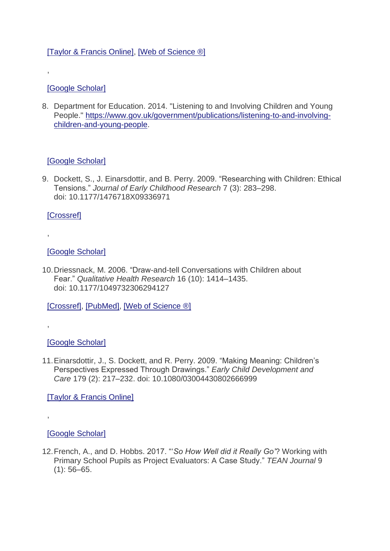#### [\[Taylor & Francis Online\],](http://www.tandfonline.com/doi/10.1080/0305569042000310363) [\[Web of Science ®\]](http://www.tandfonline.com/servlet/linkout?suffix=CIT0007&dbid=128&doi=10.1080%2F03004279.2017.1414280&key=000225572100007)

#### [\[Google Scholar\]](http://scholar.google.com/scholar_lookup?hl=en&publication_year=2004&pages=457-470&issue=4&author=H.+Cremin&author=B.+Slatter&title=Is+It+Possible+to+Access+the+%E2%80%98Voice%E2%80%99+of+Pre-school+Children?+Results+of+a+Research+Project+in+a+Pre-school+Setting&)

,

8. Department for Education. 2014. "Listening to and Involving Children and Young People." [https://www.gov.uk/government/publications/listening-to-and-involving](https://www.gov.uk/government/publications/listening-to-and-involving-children-and-young-people)[children-and-young-people.](https://www.gov.uk/government/publications/listening-to-and-involving-children-and-young-people)

#### [\[Google Scholar\]](http://scholar.google.com/scholar_lookup?hl=en&publication_year=2014&pages=457-470&issue=4&author=Department+for+Education&)

9. Dockett, S., J. Einarsdottir, and B. Perry. 2009. "Researching with Children: Ethical Tensions." *Journal of Early Childhood Research* 7 (3): 283–298. doi: 10.1177/1476718X09336971

**[\[Crossref\]](http://www.tandfonline.com/servlet/linkout?suffix=CIT0009&dbid=16&doi=10.1080%2F03004279.2017.1414280&key=10.1177%2F1476718X09336971)** 

,

#### [\[Google Scholar\]](http://scholar.google.com/scholar_lookup?hl=en&publication_year=2009&pages=283-298&issue=3&author=S.+Dockett&author=J.+Einarsdottir&author=B.+Perry&title=Researching+with+Children:+Ethical+Tensions&)

10.Driessnack, M. 2006. "Draw-and-tell Conversations with Children about Fear." *Qualitative Health Research* 16 (10): 1414–1435. doi: 10.1177/1049732306294127

[\[Crossref\],](http://www.tandfonline.com/servlet/linkout?suffix=CIT0010&dbid=16&doi=10.1080%2F03004279.2017.1414280&key=10.1177%2F1049732306294127) [\[PubMed\],](http://www.tandfonline.com/servlet/linkout?suffix=CIT0010&dbid=8&doi=10.1080%2F03004279.2017.1414280&key=17079802) [\[Web of Science ®\]](http://www.tandfonline.com/servlet/linkout?suffix=CIT0010&dbid=128&doi=10.1080%2F03004279.2017.1414280&key=000241996700008)

,

### [Google [Scholar\]](http://scholar.google.com/scholar_lookup?hl=en&publication_year=2006&pages=1414-1435&issue=10&author=M.+Driessnack&title=Draw-and-tell+Conversations+with+Children+about+Fear&)

11.Einarsdottir, J., S. Dockett, and R. Perry. 2009. "Making Meaning: Children's Perspectives Expressed Through Drawings." *Early Child Development and Care* 179 (2): 217–232. doi: 10.1080/03004430802666999

[\[Taylor & Francis Online\]](http://www.tandfonline.com/doi/10.1080/03004430802666999)

,

### [\[Google Scholar\]](http://scholar.google.com/scholar_lookup?hl=en&publication_year=2009&pages=217-232&issue=2&author=J.+Einarsdottir&author=S.+Dockett&author=R.+Perry&title=Making+Meaning:+Children%E2%80%99s+Perspectives+Expressed+Through+Drawings&)

12.French, A., and D. Hobbs. 2017. "'*So How Well did it Really Go'*? Working with Primary School Pupils as Project Evaluators: A Case Study." *TEAN Journal* 9 (1): 56–65.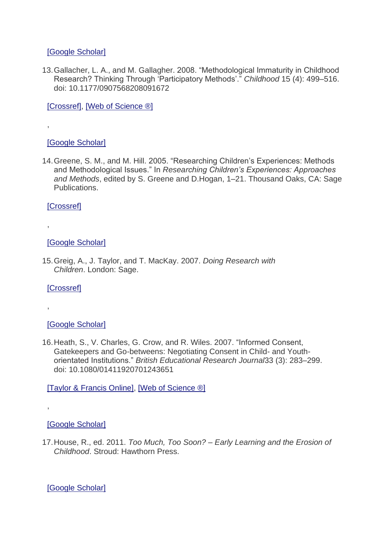[\[Google Scholar\]](http://scholar.google.com/scholar_lookup?hl=en&publication_year=2017&pages=56-65&issue=1&author=A.+French&author=D.+Hobbs&title=%E2%80%98So+How+Well+did+it+Really+Go%E2%80%99?+Working+with+Primary+School+Pupils+as+Project+Evaluators:+A+Case+Study&)

13.Gallacher, L. A., and M. Gallagher. 2008. "Methodological Immaturity in Childhood Research? Thinking Through 'Participatory Methods'." *Childhood* 15 (4): 499–516. doi: 10.1177/0907568208091672

[\[Crossref\],](http://www.tandfonline.com/servlet/linkout?suffix=CIT0013&dbid=16&doi=10.1080%2F03004279.2017.1414280&key=10.1177%2F0907568208091672) [\[Web of Science ®\]](http://www.tandfonline.com/servlet/linkout?suffix=CIT0013&dbid=128&doi=10.1080%2F03004279.2017.1414280&key=000261619800005)

### [\[Google Scholar\]](http://scholar.google.com/scholar_lookup?hl=en&publication_year=2008&pages=499-516&issue=4&author=L.+A.+Gallacher&author=M.+Gallagher&title=Methodological+Immaturity+in+Childhood+Research?+Thinking+Through+%E2%80%98Participatory+Methods%E2%80%99&)

14.Greene, S. M., and M. Hill. 2005. "Researching Children's Experiences: Methods and Methodological Issues." In *Researching Children's Experiences: Approaches and Methods*, edited by S. Greene and D.Hogan, 1–21. Thousand Oaks, CA: Sage Publications.

[\[Crossref\]](http://www.tandfonline.com/servlet/linkout?suffix=CIT0014&dbid=16&doi=10.1080%2F03004279.2017.1414280&key=10.4135%2F9781849209823.n1)

,

,

,

,

#### [\[Google Scholar\]](http://scholar.google.com/scholar_lookup?hl=en&publication_year=2005&pages=1-21&issue=4&author=S.+M.+Greene&author=M.+Hill&title=Researching+Children%E2%80%99s+Experiences:+Approaches+and+Methods&)

15.Greig, A., J. Taylor, and T. MacKay. 2007. *Doing Research with Children*. London: Sage.

[\[Crossref\]](http://www.tandfonline.com/servlet/linkout?suffix=CIT0015&dbid=16&doi=10.1080%2F03004279.2017.1414280&key=10.4135%2F9781849209045)

#### [\[Google Scholar\]](http://scholar.google.com/scholar_lookup?hl=en&publication_year=2007&issue=4&author=A.+Greig&author=J.+Taylor&author=T.+MacKay&title=Doing+Research+with+Children&)

16.Heath, S., V. Charles, G. Crow, and R. Wiles. 2007. "Informed Consent, Gatekeepers and Go-betweens: Negotiating Consent in Child- and Youthorientated Institutions." *British Educational Research Journal*33 (3): 283–299. doi: 10.1080/01411920701243651

[\[Taylor & Francis Online\],](http://www.tandfonline.com/doi/10.1080/01411920701243651) [\[Web of Science ®\]](http://www.tandfonline.com/servlet/linkout?suffix=CIT0016&dbid=128&doi=10.1080%2F03004279.2017.1414280&key=000246770800007)

#### [\[Google Scholar\]](http://scholar.google.com/scholar_lookup?hl=en&publication_year=2007&pages=283-299&issue=3&author=S.+Heath&author=V.+Charles&author=G.+Crow&author=R.+Wiles&title=Informed+Consent,+Gatekeepers+and+Go-betweens:+Negotiating+Consent+in+Child-+and+Youth-orientated+Institutions&)

17.House, R., ed. 2011. *Too Much, Too Soon? – Early Learning and the Erosion of Childhood*. Stroud: Hawthorn Press.

[\[Google Scholar\]](http://scholar.google.com/scholar_lookup?hl=en&publication_year=2011&issue=3&author=R.+House&title=Too+Much,+Too+Soon?+%E2%80%93+Early+Learning+and+the+Erosion+of+Childhood&)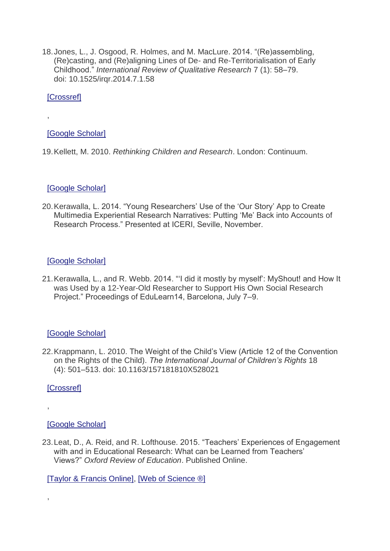18.Jones, L., J. Osgood, R. Holmes, and M. MacLure. 2014. "(Re)assembling, (Re)casting, and (Re)aligning Lines of De- and Re-Territorialisation of Early Childhood." *International Review of Qualitative Research* 7 (1): 58–79. doi: 10.1525/irqr.2014.7.1.58

#### **[\[Crossref\]](http://www.tandfonline.com/servlet/linkout?suffix=CIT0018&dbid=16&doi=10.1080%2F03004279.2017.1414280&key=10.1525%2Firqr.2014.7.1.58)**

,

#### [\[Google Scholar\]](http://scholar.google.com/scholar_lookup?hl=en&publication_year=2014&pages=58-79&issue=1&author=L.+Jones&author=J.+Osgood&author=R.+Holmes&author=M.+MacLure&title=(Re)assembling,+(Re)casting,+and+(Re)aligning+Lines+of+De-+and+Re-Territorialisation+of+Early+Childhood&)

19.Kellett, M. 2010. *Rethinking Children and Research*. London: Continuum.

#### [\[Google Scholar\]](http://scholar.google.com/scholar_lookup?hl=en&publication_year=2010&issue=1&author=M.+Kellett&title=Rethinking+Children+and+Research&)

20.Kerawalla, L. 2014. "Young Researchers' Use of the 'Our Story' App to Create Multimedia Experiential Research Narratives: Putting 'Me' Back into Accounts of Research Process." Presented at ICERI, Seville, November.

#### [\[Google Scholar\]](http://scholar.google.com/scholar_lookup?hl=en&publication_year=2014&issue=1&author=L.+Kerawalla&)

21.Kerawalla, L., and R. Webb. 2014. "'I did it mostly by myself': MyShout! and How It was Used by a 12-Year-Old Researcher to Support His Own Social Research Project." Proceedings of EduLearn14, Barcelona, July 7–9.

#### [\[Google Scholar\]](http://scholar.google.com/scholar_lookup?hl=en&publication_year=2014&issue=1&author=L.+Kerawalla&author=R.+Webb&)

22.Krappmann, L. 2010. The Weight of the Child's View (Article 12 of the Convention on the Rights of the Child). *The International Journal of Children's Rights* 18 (4): 501–513. doi: 10.1163/157181810X528021

[\[Crossref\]](http://www.tandfonline.com/servlet/linkout?suffix=CIT0022&dbid=16&doi=10.1080%2F03004279.2017.1414280&key=10.1163%2F157181810X528021)

,

,

#### [\[Google Scholar\]](http://scholar.google.com/scholar_lookup?hl=en&publication_year=2010&pages=501-513&issue=4&author=L.+Krappmann&title=The+Weight+of+the+Child%E2%80%99s+View+(Article+12+of+the+Convention+on+the+Rights+of+the+Child)&)

23.Leat, D., A. Reid, and R. Lofthouse. 2015. "Teachers' Experiences of Engagement with and in Educational Research: What can be Learned from Teachers' Views?" *Oxford Review of Education*. Published Online.

[\[Taylor & Francis Online\],](http://www.tandfonline.com/doi/10.1080/03054985.2015.1021193) [\[Web of Science ®\]](http://www.tandfonline.com/servlet/linkout?suffix=CIT0023&dbid=128&doi=10.1080%2F03004279.2017.1414280&key=000351901600008)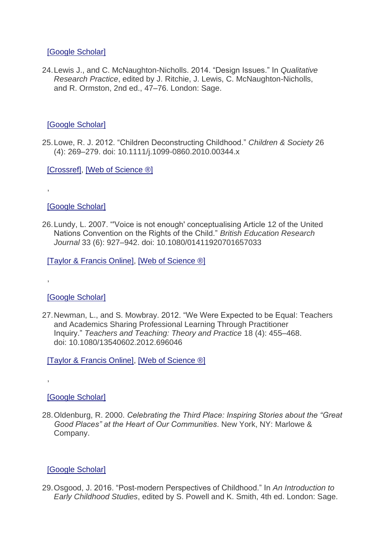[\[Google Scholar\]](http://scholar.google.com/scholar_lookup?hl=en&publication_year=2015&author=D.+Leat&author=A.+Reid&author=R.+Lofthouse&title=Teachers%E2%80%99+Experiences+of+Engagement+with+and+in+Educational+Research:+What+can+be+Learned+from+Teachers%E2%80%99+Views?&)

24.Lewis J., and C. McNaughton-Nicholls. 2014. "Design Issues." In *Qualitative Research Practice*, edited by J. Ritchie, J. Lewis, C. McNaughton-Nicholls, and R. Ormston, 2nd ed., 47–76. London: Sage.

#### [\[Google Scholar\]](http://scholar.google.com/scholar_lookup?hl=en&publication_year=2014&pages=47-76&author=J.+Lewis&author=C.+McNaughton-Nicholls&title=Qualitative+Research+Practice&)

25.Lowe, R. J. 2012. "Children Deconstructing Childhood." *Children & Society* 26 (4): 269–279. doi: 10.1111/j.1099-0860.2010.00344.x

[\[Crossref\],](http://www.tandfonline.com/servlet/linkout?suffix=CIT0025&dbid=16&doi=10.1080%2F03004279.2017.1414280&key=10.1111%2Fj.1099-0860.2010.00344.x) [\[Web of Science ®\]](http://www.tandfonline.com/servlet/linkout?suffix=CIT0025&dbid=128&doi=10.1080%2F03004279.2017.1414280&key=000304991400001)

[\[Google Scholar\]](http://scholar.google.com/scholar_lookup?hl=en&publication_year=2012&pages=269-279&issue=4&author=R.+J.+Lowe&title=Children+Deconstructing+Childhood&)

,

,

,

26.Lundy, L. 2007. "'Voice is not enough' conceptualising Article 12 of the United Nations Convention on the Rights of the Child." *British Education Research Journal* 33 (6): 927–942. doi: 10.1080/01411920701657033

[\[Taylor & Francis Online\],](http://www.tandfonline.com/doi/10.1080/01411920701657033) [\[Web of Science ®\]](http://www.tandfonline.com/servlet/linkout?suffix=CIT0026&dbid=128&doi=10.1080%2F03004279.2017.1414280&key=000251740300007)

[\[Google Scholar\]](http://scholar.google.com/scholar_lookup?hl=en&publication_year=2007&pages=927-942&issue=6&author=L.+Lundy&title=%27Voice+is+not+enough%27+conceptualising+Article+12+of+the+United+Nations+Convention+on+the+Rights+of+the+Child&)

27.Newman, L., and S. Mowbray. 2012. "We Were Expected to be Equal: Teachers and Academics Sharing Professional Learning Through Practitioner Inquiry." *Teachers and Teaching: Theory and Practice* 18 (4): 455–468. doi: 10.1080/13540602.2012.696046

[\[Taylor & Francis Online\],](http://www.tandfonline.com/doi/10.1080/13540602.2012.696046) [\[Web of Science ®\]](http://www.tandfonline.com/servlet/linkout?suffix=CIT0027&dbid=128&doi=10.1080%2F03004279.2017.1414280&key=000306378200005)

[\[Google Scholar\]](http://scholar.google.com/scholar_lookup?hl=en&publication_year=2012&pages=455-468&issue=4&author=L.+Newman&author=S.+Mowbray&title=We+Were+Expected+to+be+Equal:+Teachers+and+Academics+Sharing+Professional+Learning+Through+Practitioner+Inquiry&)

28.Oldenburg, R. 2000. *Celebrating the Third Place: Inspiring Stories about the "Great Good Places" at the Heart of Our Communities*. New York, NY: Marlowe & Company.

#### [\[Google Scholar\]](http://scholar.google.com/scholar_lookup?hl=en&publication_year=2000&issue=4&author=R.+Oldenburg&title=Celebrating+the+Third+Place:+Inspiring+Stories+about+the+%E2%80%9CGreat+Good+Places%E2%80%9D+at+the+Heart+of+Our+Communities&)

29.Osgood, J. 2016. "Post-modern Perspectives of Childhood." In *An Introduction to Early Childhood Studies*, edited by S. Powell and K. Smith, 4th ed. London: Sage.